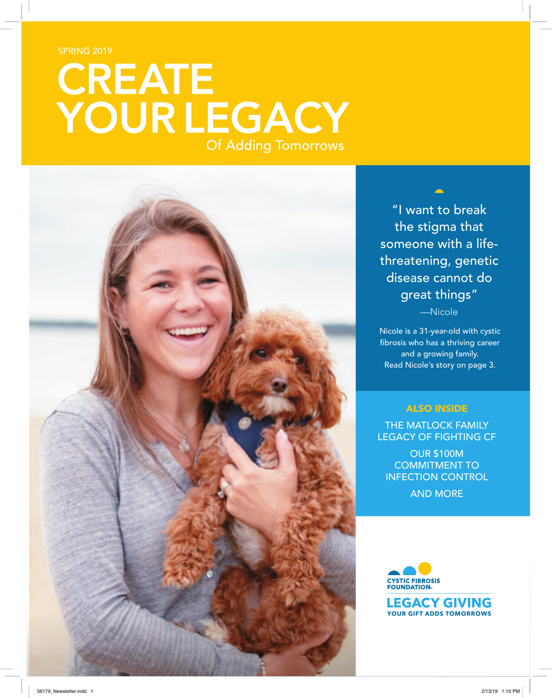SPRING 2019

# **CREATE YOUR LEGACY** Of Adding Tomorrows



"I want to break the stigma that someone with a lifethreatening, genetic disease cannot do great things"

—Nicole

Nicole is a 31-year-old with cystic fibrosis who has a thriving career and a growing family. Read Nicole's story on page 3.

#### ALSO INSIDE

THE MATLOCK FAMILY LEGACY OF FIGHTING CF

OUR \$100M COMMITMENT TO INFECTION CONTROL

AND MORE

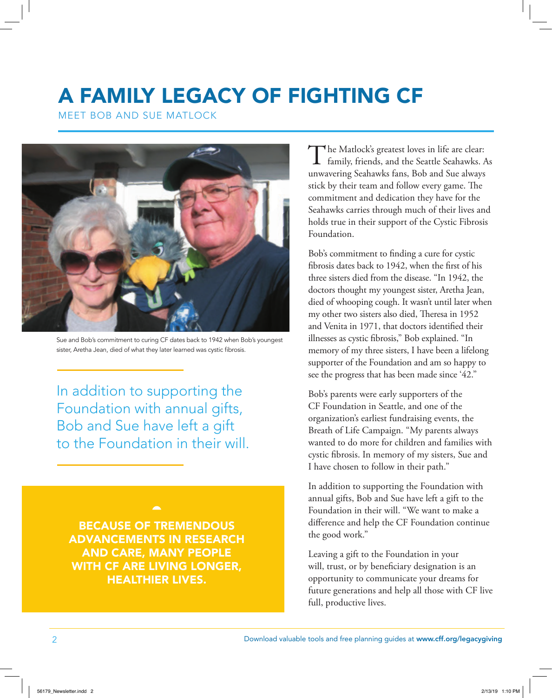## A FAMILY LEGACY OF FIGHTING CF

MEET BOB AND SUE MATLOCK



Sue and Bob's commitment to curing CF dates back to 1942 when Bob's youngest sister, Aretha Jean, died of what they later learned was cystic fibrosis.

In addition to supporting the Foundation with annual gifts, Bob and Sue have left a gift to the Foundation in their will.

BECAUSE OF TREMENDOUS ADVANCEMENTS IN RESEARCH AND CARE, MANY PEOPLE WITH CF ARE LIVING LONGER, HEALTHIER LIVES.

The Matlock's greatest loves in life are clear:<br>family, friends, and the Seattle Seahawks. As unwavering Seahawks fans, Bob and Sue always stick by their team and follow every game. The commitment and dedication they have for the Seahawks carries through much of their lives and holds true in their support of the Cystic Fibrosis Foundation.

Bob's commitment to finding a cure for cystic fibrosis dates back to 1942, when the first of his three sisters died from the disease. "In 1942, the doctors thought my youngest sister, Aretha Jean, died of whooping cough. It wasn't until later when my other two sisters also died, Theresa in 1952 and Venita in 1971, that doctors identified their illnesses as cystic fibrosis," Bob explained. "In memory of my three sisters, I have been a lifelong supporter of the Foundation and am so happy to see the progress that has been made since '42."

Bob's parents were early supporters of the CF Foundation in Seattle, and one of the organization's earliest fundraising events, the Breath of Life Campaign. "My parents always wanted to do more for children and families with cystic fibrosis. In memory of my sisters, Sue and I have chosen to follow in their path."

In addition to supporting the Foundation with annual gifts, Bob and Sue have left a gift to the Foundation in their will. "We want to make a difference and help the CF Foundation continue the good work."

Leaving a gift to the Foundation in your will, trust, or by beneficiary designation is an opportunity to communicate your dreams for future generations and help all those with CF live full, productive lives.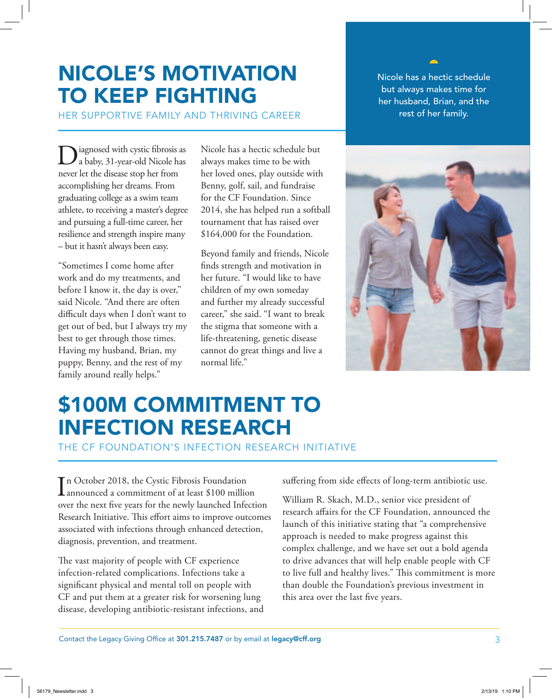#### NICOLE'S MOTIVATION TO KEEP FIGHTING

HER SUPPORTIVE FAMILY AND THRIVING CAREER

Diagnosed with cystic fibrosis as<br>a baby, 31-year-old Nicole has never let the disease stop her from accomplishing her dreams. From graduating college as a swim team athlete, to receiving a master's degree and pursuing a full-time career, her resilience and strength inspire many – but it hasn't always been easy.

"Sometimes I come home after work and do my treatments, and before I know it, the day is over," said Nicole. "And there are often difficult days when I don't want to get out of bed, but I always try my best to get through those times. Having my husband, Brian, my puppy, Benny, and the rest of my family around really helps."

Nicole has a hectic schedule but always makes time to be with her loved ones, play outside with Benny, golf, sail, and fundraise for the CF Foundation. Since 2014, she has helped run a softball tournament that has raised over \$164,000 for the Foundation.

Beyond family and friends, Nicole finds strength and motivation in her future. "I would like to have children of my own someday and further my already successful career," she said. "I want to break the stigma that someone with a life-threatening, genetic disease cannot do great things and live a normal life."

Nicole has a hectic schedule but always makes time for her husband, Brian, and the rest of her family.



### \$100M COMMITMENT TO INFECTION RESEARCH

THE CF FOUNDATION'S INFECTION RESEARCH INITIATIVE

In October 2018, the Cystic Fibrosis Foundation<br>announced a commitment of at least \$100 million n October 2018, the Cystic Fibrosis Foundation over the next five years for the newly launched Infection Research Initiative. This effort aims to improve outcomes associated with infections through enhanced detection, diagnosis, prevention, and treatment.

The vast majority of people with CF experience infection-related complications. Infections take a significant physical and mental toll on people with CF and put them at a greater risk for worsening lung disease, developing antibiotic-resistant infections, and suffering from side effects of long-term antibiotic use.

William R. Skach, M.D., senior vice president of research affairs for the CF Foundation, announced the launch of this initiative stating that "a comprehensive approach is needed to make progress against this complex challenge, and we have set out a bold agenda to drive advances that will help enable people with CF to live full and healthy lives." This commitment is more than double the Foundation's previous investment in this area over the last five years.